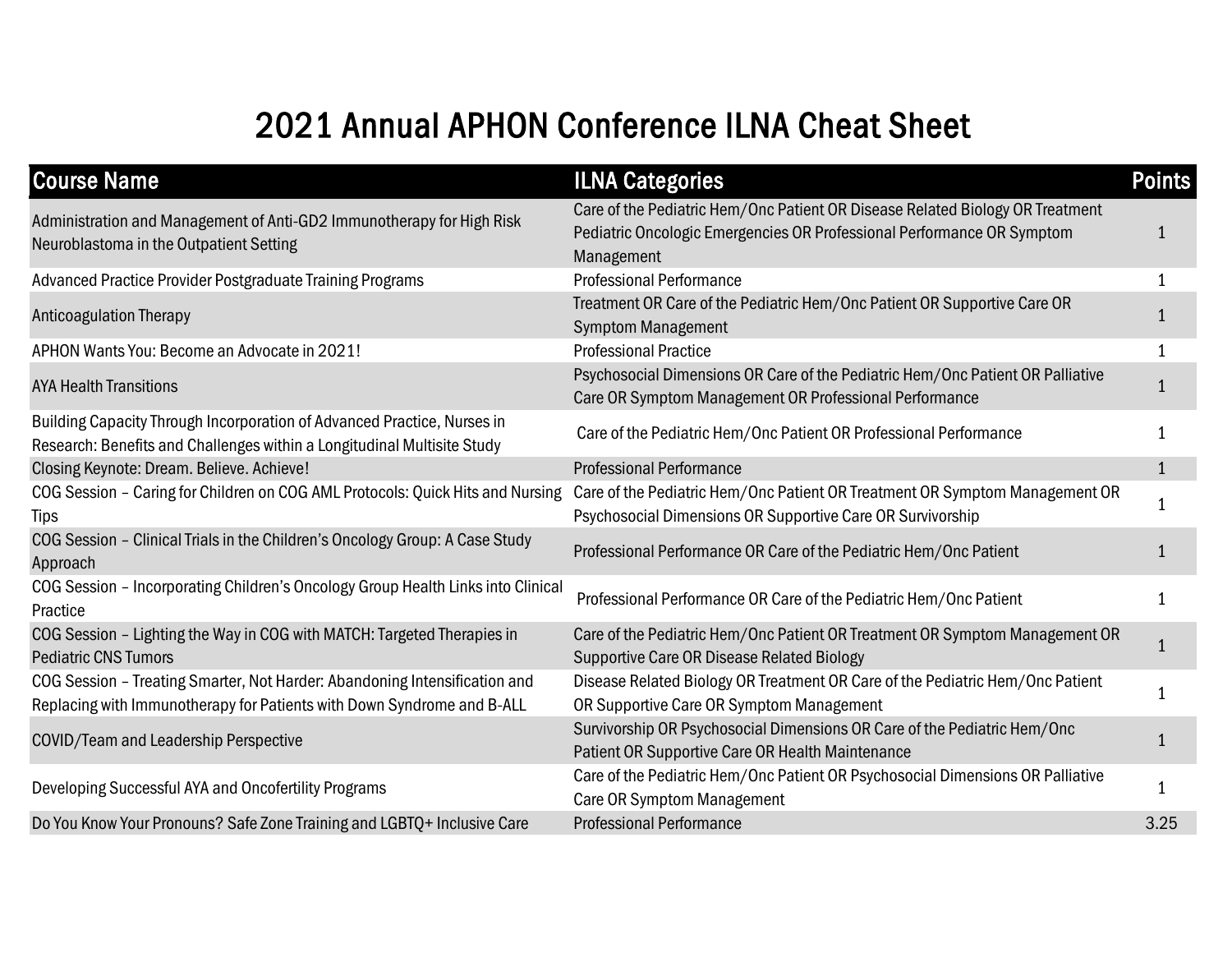## 2021 Annual APHON Conference ILNA Cheat Sheet

| <b>Course Name</b>                                                                                                                                   | <b>ILNA Categories</b>                                                                                                                                                | <b>Points</b> |
|------------------------------------------------------------------------------------------------------------------------------------------------------|-----------------------------------------------------------------------------------------------------------------------------------------------------------------------|---------------|
| Administration and Management of Anti-GD2 Immunotherapy for High Risk<br>Neuroblastoma in the Outpatient Setting                                     | Care of the Pediatric Hem/Onc Patient OR Disease Related Biology OR Treatment<br>Pediatric Oncologic Emergencies OR Professional Performance OR Symptom<br>Management |               |
| Advanced Practice Provider Postgraduate Training Programs                                                                                            | <b>Professional Performance</b>                                                                                                                                       |               |
| <b>Anticoagulation Therapy</b>                                                                                                                       | Treatment OR Care of the Pediatric Hem/Onc Patient OR Supportive Care OR<br><b>Symptom Management</b>                                                                 |               |
| APHON Wants You: Become an Advocate in 2021!                                                                                                         | <b>Professional Practice</b>                                                                                                                                          | 1             |
| <b>AYA Health Transitions</b>                                                                                                                        | Psychosocial Dimensions OR Care of the Pediatric Hem/Onc Patient OR Palliative<br>Care OR Symptom Management OR Professional Performance                              |               |
| Building Capacity Through Incorporation of Advanced Practice, Nurses in<br>Research: Benefits and Challenges within a Longitudinal Multisite Study   | Care of the Pediatric Hem/Onc Patient OR Professional Performance                                                                                                     |               |
| Closing Keynote: Dream. Believe. Achieve!                                                                                                            | <b>Professional Performance</b>                                                                                                                                       | 1             |
| COG Session - Caring for Children on COG AML Protocols: Quick Hits and Nursing<br>Tips                                                               | Care of the Pediatric Hem/Onc Patient OR Treatment OR Symptom Management OR<br>Psychosocial Dimensions OR Supportive Care OR Survivorship                             |               |
| COG Session - Clinical Trials in the Children's Oncology Group: A Case Study<br>Approach                                                             | Professional Performance OR Care of the Pediatric Hem/Onc Patient                                                                                                     |               |
| COG Session - Incorporating Children's Oncology Group Health Links into Clinical<br>Practice                                                         | Professional Performance OR Care of the Pediatric Hem/Onc Patient                                                                                                     |               |
| COG Session - Lighting the Way in COG with MATCH: Targeted Therapies in<br><b>Pediatric CNS Tumors</b>                                               | Care of the Pediatric Hem/Onc Patient OR Treatment OR Symptom Management OR<br>Supportive Care OR Disease Related Biology                                             | 1             |
| COG Session - Treating Smarter, Not Harder: Abandoning Intensification and<br>Replacing with Immunotherapy for Patients with Down Syndrome and B-ALL | Disease Related Biology OR Treatment OR Care of the Pediatric Hem/Onc Patient<br>OR Supportive Care OR Symptom Management                                             |               |
| COVID/Team and Leadership Perspective                                                                                                                | Survivorship OR Psychosocial Dimensions OR Care of the Pediatric Hem/Onc<br>Patient OR Supportive Care OR Health Maintenance                                          |               |
| Developing Successful AYA and Oncofertility Programs                                                                                                 | Care of the Pediatric Hem/Onc Patient OR Psychosocial Dimensions OR Palliative<br>Care OR Symptom Management                                                          |               |
| Do You Know Your Pronouns? Safe Zone Training and LGBTQ+ Inclusive Care                                                                              | <b>Professional Performance</b>                                                                                                                                       | 3.25          |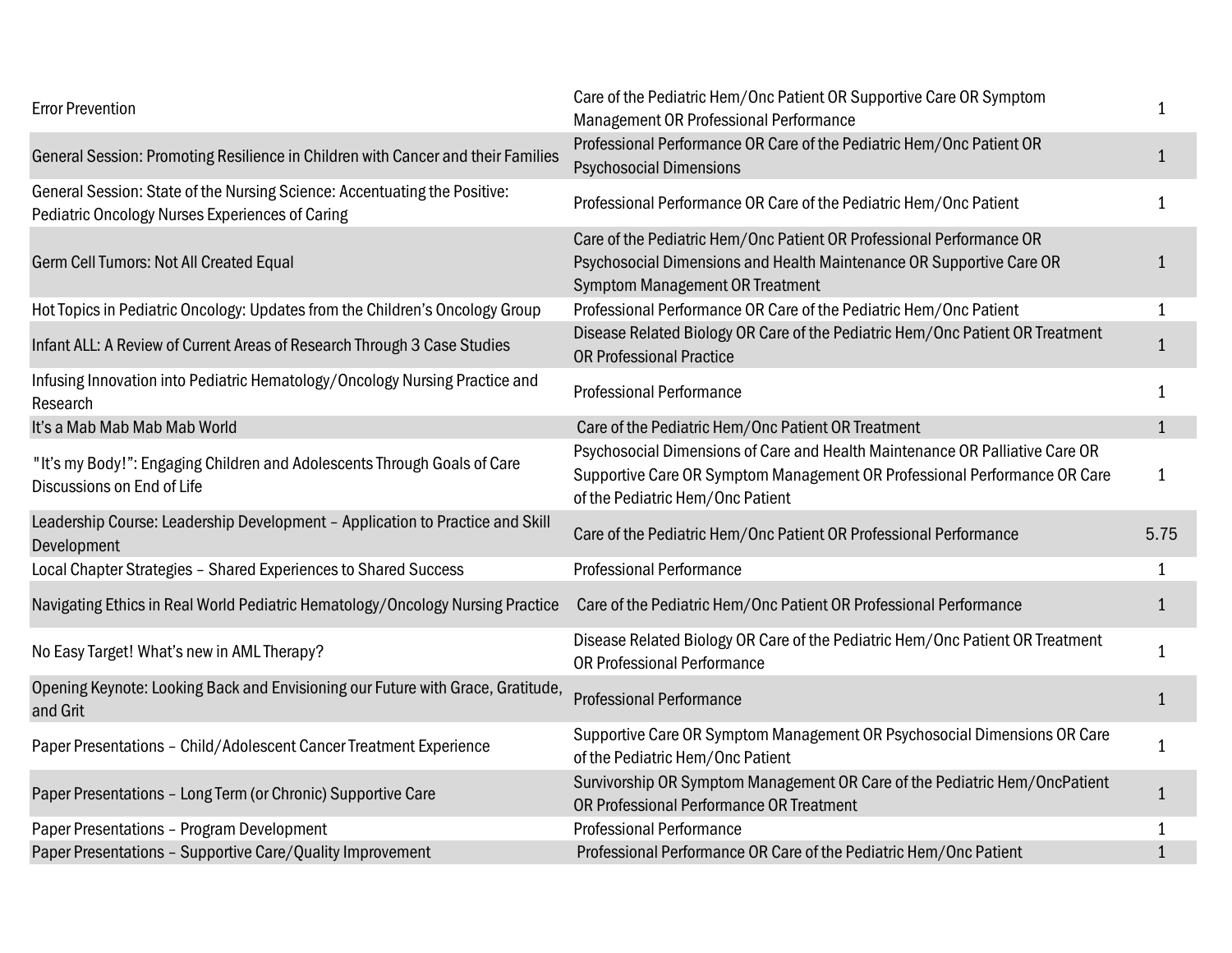| <b>Error Prevention</b>                                                                                                      | Care of the Pediatric Hem/Onc Patient OR Supportive Care OR Symptom<br>Management OR Professional Performance                                                                                 | 1            |
|------------------------------------------------------------------------------------------------------------------------------|-----------------------------------------------------------------------------------------------------------------------------------------------------------------------------------------------|--------------|
| General Session: Promoting Resilience in Children with Cancer and their Families                                             | Professional Performance OR Care of the Pediatric Hem/Onc Patient OR<br><b>Psychosocial Dimensions</b>                                                                                        | $\mathbf{1}$ |
| General Session: State of the Nursing Science: Accentuating the Positive:<br>Pediatric Oncology Nurses Experiences of Caring | Professional Performance OR Care of the Pediatric Hem/Onc Patient                                                                                                                             | 1            |
| Germ Cell Tumors: Not All Created Equal                                                                                      | Care of the Pediatric Hem/Onc Patient OR Professional Performance OR<br>Psychosocial Dimensions and Health Maintenance OR Supportive Care OR<br>Symptom Management OR Treatment               | $\mathbf 1$  |
| Hot Topics in Pediatric Oncology: Updates from the Children's Oncology Group                                                 | Professional Performance OR Care of the Pediatric Hem/Onc Patient                                                                                                                             | 1            |
| Infant ALL: A Review of Current Areas of Research Through 3 Case Studies                                                     | Disease Related Biology OR Care of the Pediatric Hem/Onc Patient OR Treatment<br><b>OR Professional Practice</b>                                                                              | $\mathbf{1}$ |
| Infusing Innovation into Pediatric Hematology/Oncology Nursing Practice and<br>Research                                      | <b>Professional Performance</b>                                                                                                                                                               | 1            |
| It's a Mab Mab Mab Mab World                                                                                                 | Care of the Pediatric Hem/Onc Patient OR Treatment                                                                                                                                            | $\mathbf{1}$ |
| "It's my Body!": Engaging Children and Adolescents Through Goals of Care<br>Discussions on End of Life                       | Psychosocial Dimensions of Care and Health Maintenance OR Palliative Care OR<br>Supportive Care OR Symptom Management OR Professional Performance OR Care<br>of the Pediatric Hem/Onc Patient | 1            |
| Leadership Course: Leadership Development - Application to Practice and Skill<br>Development                                 | Care of the Pediatric Hem/Onc Patient OR Professional Performance                                                                                                                             | 5.75         |
| Local Chapter Strategies - Shared Experiences to Shared Success                                                              | <b>Professional Performance</b>                                                                                                                                                               | 1            |
| Navigating Ethics in Real World Pediatric Hematology/Oncology Nursing Practice                                               | Care of the Pediatric Hem/Onc Patient OR Professional Performance                                                                                                                             | 1            |
| No Easy Target! What's new in AML Therapy?                                                                                   | Disease Related Biology OR Care of the Pediatric Hem/Onc Patient OR Treatment<br>OR Professional Performance                                                                                  | $\mathbf{1}$ |
| Opening Keynote: Looking Back and Envisioning our Future with Grace, Gratitude<br>and Grit                                   | <b>Professional Performance</b>                                                                                                                                                               | 1            |
| Paper Presentations - Child/Adolescent Cancer Treatment Experience                                                           | Supportive Care OR Symptom Management OR Psychosocial Dimensions OR Care<br>of the Pediatric Hem/Onc Patient                                                                                  | $\mathbf{1}$ |
| Paper Presentations - Long Term (or Chronic) Supportive Care                                                                 | Survivorship OR Symptom Management OR Care of the Pediatric Hem/OncPatient<br>OR Professional Performance OR Treatment                                                                        | $\mathbf{1}$ |
| Paper Presentations - Program Development                                                                                    | <b>Professional Performance</b>                                                                                                                                                               | 1            |
| Paper Presentations - Supportive Care/Quality Improvement                                                                    | Professional Performance OR Care of the Pediatric Hem/Onc Patient                                                                                                                             | 1            |